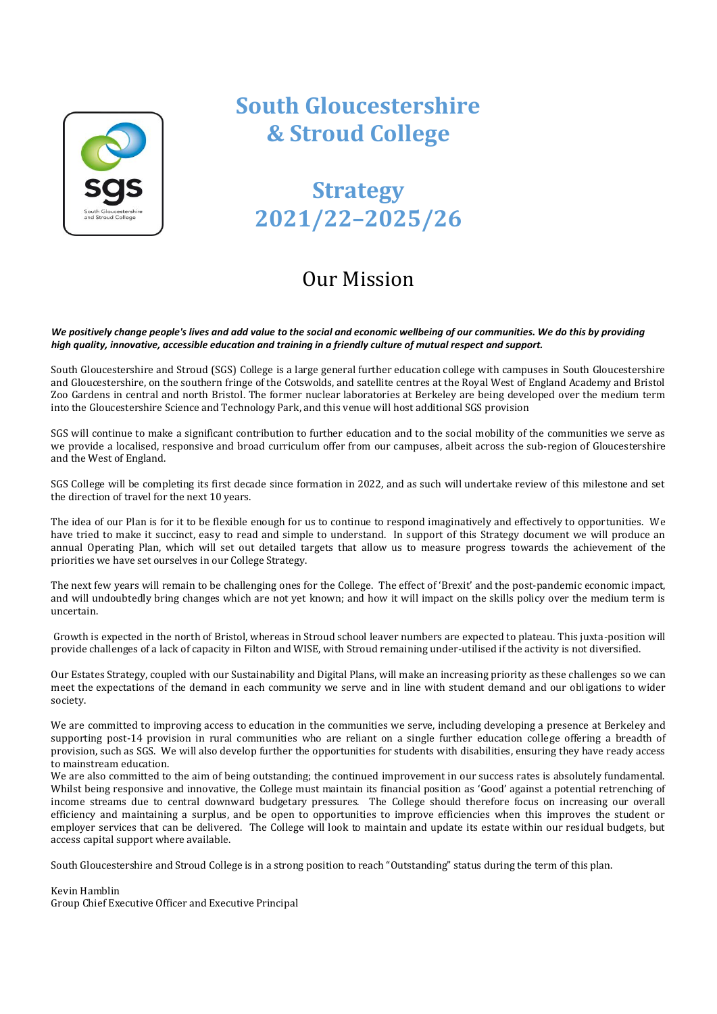

# **South Gloucestershire & Stroud College**

# **Strategy 2021/22–2025/26**

## Our Mission

*We positively change people's lives and add value to the social and economic wellbeing of our communities. We do this by providing high quality, innovative, accessible education and training in a friendly culture of mutual respect and support.*

South Gloucestershire and Stroud (SGS) College is a large general further education college with campuses in South Gloucestershire and Gloucestershire, on the southern fringe of the Cotswolds, and satellite centres at the Royal West of England Academy and Bristol Zoo Gardens in central and north Bristol. The former nuclear laboratories at Berkeley are being developed over the medium term into the Gloucestershire Science and Technology Park, and this venue will host additional SGS provision

SGS will continue to make a significant contribution to further education and to the social mobility of the communities we serve as we provide a localised, responsive and broad curriculum offer from our campuses, albeit across the sub-region of Gloucestershire and the West of England.

SGS College will be completing its first decade since formation in 2022, and as such will undertake review of this milestone and set the direction of travel for the next 10 years.

The idea of our Plan is for it to be flexible enough for us to continue to respond imaginatively and effectively to opportunities. We have tried to make it succinct, easy to read and simple to understand. In support of this Strategy document we will produce an annual Operating Plan, which will set out detailed targets that allow us to measure progress towards the achievement of the priorities we have set ourselves in our College Strategy.

The next few years will remain to be challenging ones for the College. The effect of 'Brexit' and the post-pandemic economic impact, and will undoubtedly bring changes which are not yet known; and how it will impact on the skills policy over the medium term is uncertain.

Growth is expected in the north of Bristol, whereas in Stroud school leaver numbers are expected to plateau. This juxta-position will provide challenges of a lack of capacity in Filton and WISE, with Stroud remaining under-utilised if the activity is not diversified.

Our Estates Strategy, coupled with our Sustainability and Digital Plans, will make an increasing priority as these challenges so we can meet the expectations of the demand in each community we serve and in line with student demand and our obligations to wider society.

We are committed to improving access to education in the communities we serve, including developing a presence at Berkeley and supporting post-14 provision in rural communities who are reliant on a single further education college offering a breadth of provision, such as SGS. We will also develop further the opportunities for students with disabilities, ensuring they have ready access to mainstream education.

We are also committed to the aim of being outstanding; the continued improvement in our success rates is absolutely fundamental. Whilst being responsive and innovative, the College must maintain its financial position as 'Good' against a potential retrenching of income streams due to central downward budgetary pressures. The College should therefore focus on increasing our overall efficiency and maintaining a surplus, and be open to opportunities to improve efficiencies when this improves the student or employer services that can be delivered. The College will look to maintain and update its estate within our residual budgets, but access capital support where available.

South Gloucestershire and Stroud College is in a strong position to reach "Outstanding" status during the term of this plan.

Kevin Hamblin Group Chief Executive Officer and Executive Principal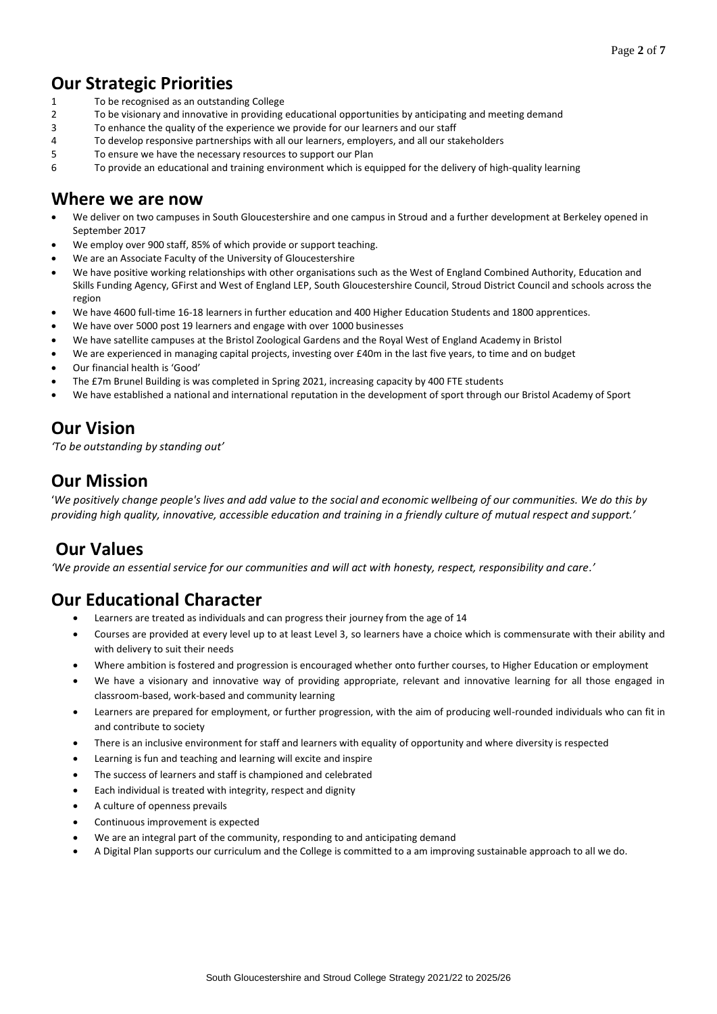## **Our Strategic Priorities**

- 1 To be recognised as an outstanding College
- 2 To be visionary and innovative in providing educational opportunities by anticipating and meeting demand
- 3 To enhance the quality of the experience we provide for our learners and our staff
- 4 To develop responsive partnerships with all our learners, employers, and all our stakeholders
- 5 To ensure we have the necessary resources to support our Plan
- 6 To provide an educational and training environment which is equipped for the delivery of high-quality learning

### **Where we are now**

- We deliver on two campuses in South Gloucestershire and one campus in Stroud and a further development at Berkeley opened in September 2017
- We employ over 900 staff, 85% of which provide or support teaching.
- We are an Associate Faculty of the University of Gloucestershire
- We have positive working relationships with other organisations such as the West of England Combined Authority, Education and Skills Funding Agency, GFirst and West of England LEP, South Gloucestershire Council, Stroud District Council and schools across the region
- We have 4600 full-time 16-18 learners in further education and 400 Higher Education Students and 1800 apprentices.
- We have over 5000 post 19 learners and engage with over 1000 businesses
- We have satellite campuses at the Bristol Zoological Gardens and the Royal West of England Academy in Bristol
- We are experienced in managing capital projects, investing over £40m in the last five years, to time and on budget
- Our financial health is 'Good'
- The £7m Brunel Building is was completed in Spring 2021, increasing capacity by 400 FTE students
- We have established a national and international reputation in the development of sport through our Bristol Academy of Sport

## **Our Vision**

*'To be outstanding by standing out'*

### **Our Mission**

'*We positively change people's lives and add value to the social and economic wellbeing of our communities. We do this by providing high quality, innovative, accessible education and training in a friendly culture of mutual respect and support.'*

## **Our Values**

*'We provide an essential service for our communities and will act with honesty, respect, responsibility and care.'*

## **Our Educational Character**

- Learners are treated as individuals and can progress their journey from the age of 14
- Courses are provided at every level up to at least Level 3, so learners have a choice which is commensurate with their ability and with delivery to suit their needs
- Where ambition is fostered and progression is encouraged whether onto further courses, to Higher Education or employment
- We have a visionary and innovative way of providing appropriate, relevant and innovative learning for all those engaged in classroom-based, work-based and community learning
- Learners are prepared for employment, or further progression, with the aim of producing well-rounded individuals who can fit in and contribute to society
- There is an inclusive environment for staff and learners with equality of opportunity and where diversity is respected
- Learning is fun and teaching and learning will excite and inspire
- The success of learners and staff is championed and celebrated
- Each individual is treated with integrity, respect and dignity
- A culture of openness prevails
- Continuous improvement is expected
- We are an integral part of the community, responding to and anticipating demand
- A Digital Plan supports our curriculum and the College is committed to a am improving sustainable approach to all we do.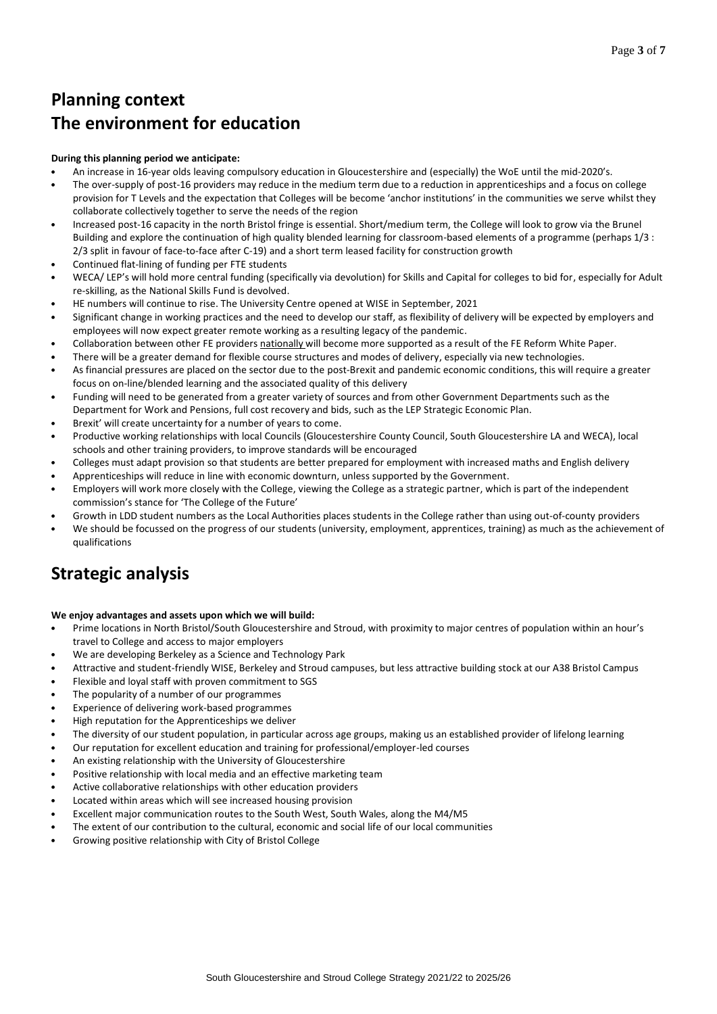## **Planning context The environment for education**

#### **During this planning period we anticipate:**

- An increase in 16-year olds leaving compulsory education in Gloucestershire and (especially) the WoE until the mid-2020's.
- The over-supply of post-16 providers may reduce in the medium term due to a reduction in apprenticeships and a focus on college provision for T Levels and the expectation that Colleges will be become 'anchor institutions' in the communities we serve whilst they collaborate collectively together to serve the needs of the region
- Increased post-16 capacity in the north Bristol fringe is essential. Short/medium term, the College will look to grow via the Brunel Building and explore the continuation of high quality blended learning for classroom-based elements of a programme (perhaps 1/3 : 2/3 split in favour of face-to-face after C-19) and a short term leased facility for construction growth
- Continued flat-lining of funding per FTE students
- WECA/ LEP's will hold more central funding (specifically via devolution) for Skills and Capital for colleges to bid for, especially for Adult re-skilling, as the National Skills Fund is devolved.
- HE numbers will continue to rise. The University Centre opened at WISE in September, 2021
- Significant change in working practices and the need to develop our staff, as flexibility of delivery will be expected by employers and employees will now expect greater remote working as a resulting legacy of the pandemic.
- Collaboration between other FE providers nationally will become more supported as a result of the FE Reform White Paper.
- There will be a greater demand for flexible course structures and modes of delivery, especially via new technologies.
- As financial pressures are placed on the sector due to the post-Brexit and pandemic economic conditions, this will require a greater focus on on-line/blended learning and the associated quality of this delivery
- Funding will need to be generated from a greater variety of sources and from other Government Departments such as the Department for Work and Pensions, full cost recovery and bids, such as the LEP Strategic Economic Plan.
- Brexit' will create uncertainty for a number of years to come.
- Productive working relationships with local Councils (Gloucestershire County Council, South Gloucestershire LA and WECA), local schools and other training providers, to improve standards will be encouraged
- Colleges must adapt provision so that students are better prepared for employment with increased maths and English delivery
- Apprenticeships will reduce in line with economic downturn, unless supported by the Government.
- Employers will work more closely with the College, viewing the College as a strategic partner, which is part of the independent commission's stance for 'The College of the Future'
- Growth in LDD student numbers as the Local Authorities places students in the College rather than using out-of-county providers
- We should be focussed on the progress of our students (university, employment, apprentices, training) as much as the achievement of qualifications

## **Strategic analysis**

#### **We enjoy advantages and assets upon which we will build:**

- Prime locations in North Bristol/South Gloucestershire and Stroud, with proximity to major centres of population within an hour's travel to College and access to major employers
- We are developing Berkeley as a Science and Technology Park
- Attractive and student-friendly WISE, Berkeley and Stroud campuses, but less attractive building stock at our A38 Bristol Campus
- Flexible and loyal staff with proven commitment to SGS
- The popularity of a number of our programmes
- Experience of delivering work-based programmes
- High reputation for the Apprenticeships we deliver
- The diversity of our student population, in particular across age groups, making us an established provider of lifelong learning
- Our reputation for excellent education and training for professional/employer-led courses
- An existing relationship with the University of Gloucestershire
- Positive relationship with local media and an effective marketing team
- Active collaborative relationships with other education providers
- Located within areas which will see increased housing provision
- Excellent major communication routes to the South West, South Wales, along the M4/M5
- The extent of our contribution to the cultural, economic and social life of our local communities
- Growing positive relationship with City of Bristol College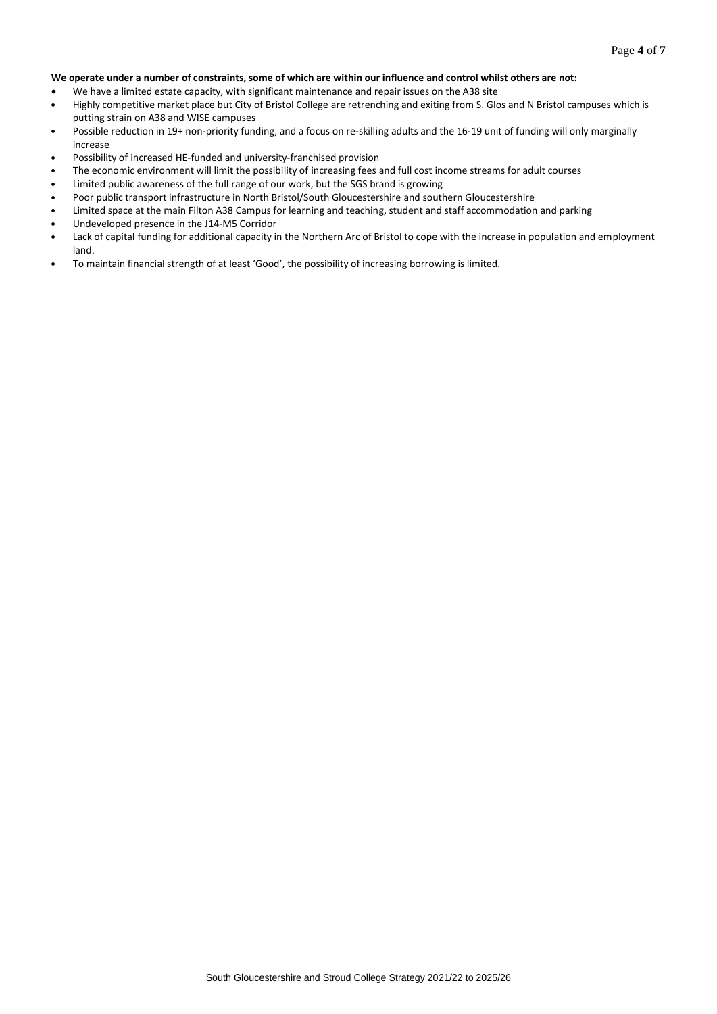#### **We operate under a number of constraints, some of which are within our influence and control whilst others are not:**

- We have a limited estate capacity, with significant maintenance and repair issues on the A38 site
- Highly competitive market place but City of Bristol College are retrenching and exiting from S. Glos and N Bristol campuses which is putting strain on A38 and WISE campuses
- Possible reduction in 19+ non-priority funding, and a focus on re-skilling adults and the 16-19 unit of funding will only marginally increase
- Possibility of increased HE-funded and university-franchised provision
- The economic environment will limit the possibility of increasing fees and full cost income streams for adult courses
- Limited public awareness of the full range of our work, but the SGS brand is growing
- Poor public transport infrastructure in North Bristol/South Gloucestershire and southern Gloucestershire
- Limited space at the main Filton A38 Campus for learning and teaching, student and staff accommodation and parking
- Undeveloped presence in the J14-M5 Corridor
- Lack of capital funding for additional capacity in the Northern Arc of Bristol to cope with the increase in population and employment land.
- To maintain financial strength of at least 'Good', the possibility of increasing borrowing is limited.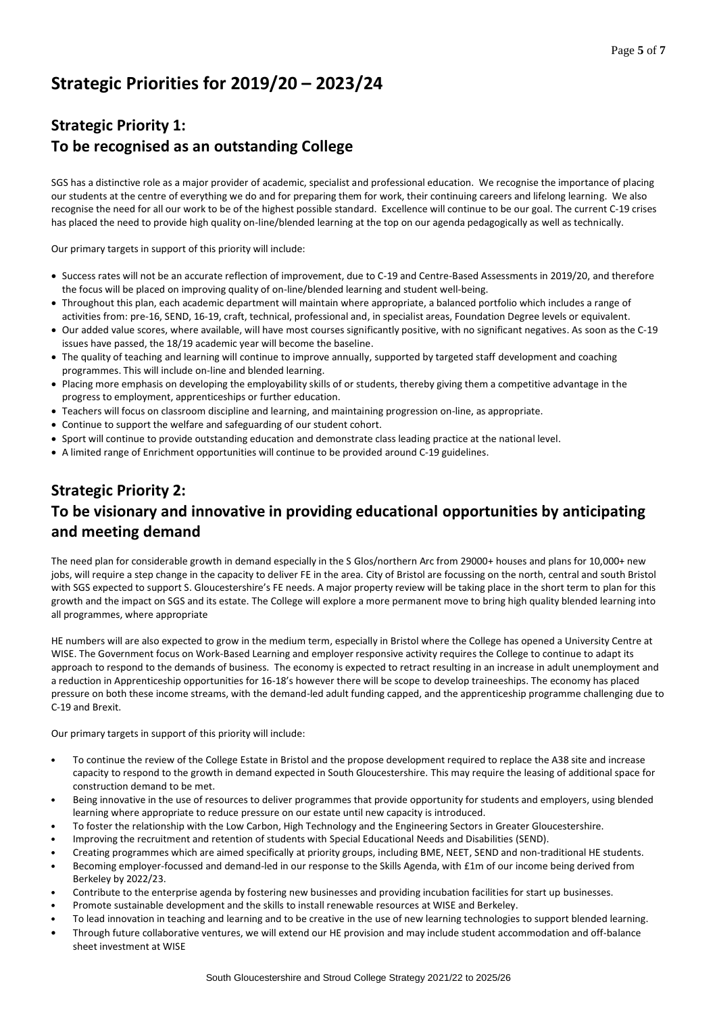## **Strategic Priorities for 2019/20 – 2023/24**

## **Strategic Priority 1: To be recognised as an outstanding College**

SGS has a distinctive role as a major provider of academic, specialist and professional education. We recognise the importance of placing our students at the centre of everything we do and for preparing them for work, their continuing careers and lifelong learning. We also recognise the need for all our work to be of the highest possible standard. Excellence will continue to be our goal. The current C-19 crises has placed the need to provide high quality on-line/blended learning at the top on our agenda pedagogically as well as technically.

Our primary targets in support of this priority will include:

- Success rates will not be an accurate reflection of improvement, due to C-19 and Centre-Based Assessments in 2019/20, and therefore the focus will be placed on improving quality of on-line/blended learning and student well-being.
- Throughout this plan, each academic department will maintain where appropriate, a balanced portfolio which includes a range of activities from: pre-16, SEND, 16-19, craft, technical, professional and, in specialist areas, Foundation Degree levels or equivalent.
- Our added value scores, where available, will have most courses significantly positive, with no significant negatives. As soon as the C-19 issues have passed, the 18/19 academic year will become the baseline.
- The quality of teaching and learning will continue to improve annually, supported by targeted staff development and coaching programmes. This will include on-line and blended learning.
- Placing more emphasis on developing the employability skills of or students, thereby giving them a competitive advantage in the progress to employment, apprenticeships or further education.
- Teachers will focus on classroom discipline and learning, and maintaining progression on-line, as appropriate.
- Continue to support the welfare and safeguarding of our student cohort.
- Sport will continue to provide outstanding education and demonstrate class leading practice at the national level.
- A limited range of Enrichment opportunities will continue to be provided around C-19 guidelines.

## **Strategic Priority 2: To be visionary and innovative in providing educational opportunities by anticipating and meeting demand**

The need plan for considerable growth in demand especially in the S Glos/northern Arc from 29000+ houses and plans for 10,000+ new jobs, will require a step change in the capacity to deliver FE in the area. City of Bristol are focussing on the north, central and south Bristol with SGS expected to support S. Gloucestershire's FE needs. A major property review will be taking place in the short term to plan for this growth and the impact on SGS and its estate. The College will explore a more permanent move to bring high quality blended learning into all programmes, where appropriate

HE numbers will are also expected to grow in the medium term, especially in Bristol where the College has opened a University Centre at WISE. The Government focus on Work-Based Learning and employer responsive activity requires the College to continue to adapt its approach to respond to the demands of business. The economy is expected to retract resulting in an increase in adult unemployment and a reduction in Apprenticeship opportunities for 16-18's however there will be scope to develop traineeships. The economy has placed pressure on both these income streams, with the demand-led adult funding capped, and the apprenticeship programme challenging due to C-19 and Brexit.

Our primary targets in support of this priority will include:

- To continue the review of the College Estate in Bristol and the propose development required to replace the A38 site and increase capacity to respond to the growth in demand expected in South Gloucestershire. This may require the leasing of additional space for construction demand to be met.
- Being innovative in the use of resources to deliver programmes that provide opportunity for students and employers, using blended learning where appropriate to reduce pressure on our estate until new capacity is introduced.
- To foster the relationship with the Low Carbon, High Technology and the Engineering Sectors in Greater Gloucestershire.
- Improving the recruitment and retention of students with Special Educational Needs and Disabilities (SEND).
- Creating programmes which are aimed specifically at priority groups, including BME, NEET, SEND and non-traditional HE students.
- Becoming employer-focussed and demand-led in our response to the Skills Agenda, with £1m of our income being derived from Berkeley by 2022/23.
- Contribute to the enterprise agenda by fostering new businesses and providing incubation facilities for start up businesses.
- Promote sustainable development and the skills to install renewable resources at WISE and Berkeley.
- To lead innovation in teaching and learning and to be creative in the use of new learning technologies to support blended learning.
- Through future collaborative ventures, we will extend our HE provision and may include student accommodation and off-balance sheet investment at WISE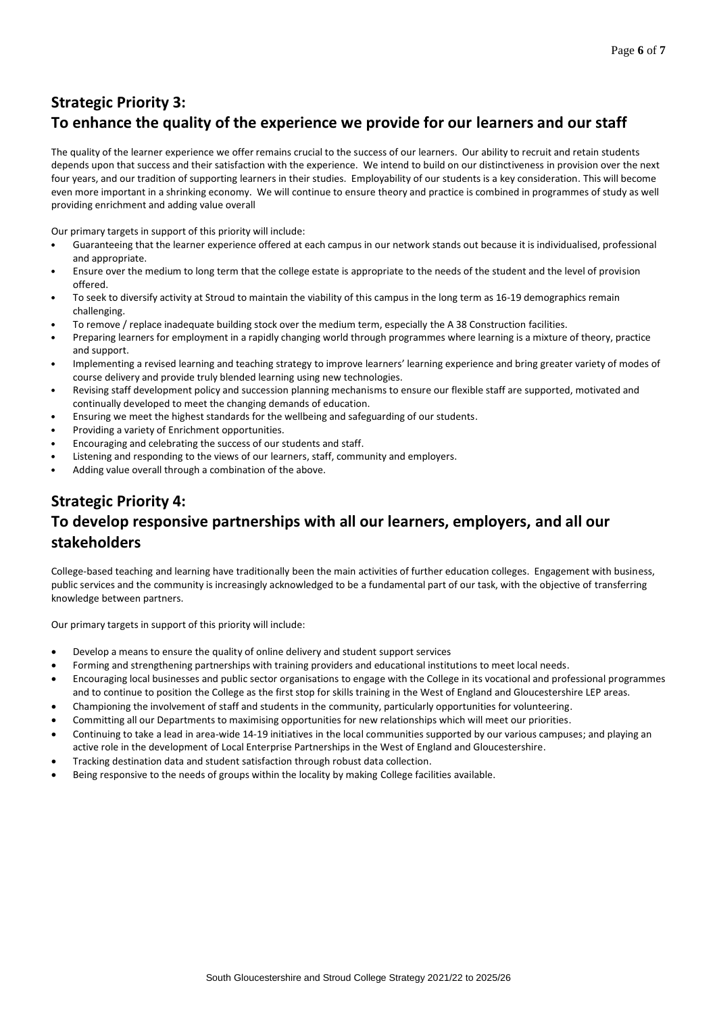## **Strategic Priority 3: To enhance the quality of the experience we provide for our learners and our staff**

The quality of the learner experience we offer remains crucial to the success of our learners. Our ability to recruit and retain students depends upon that success and their satisfaction with the experience. We intend to build on our distinctiveness in provision over the next four years, and our tradition of supporting learners in their studies. Employability of our students is a key consideration. This will become even more important in a shrinking economy. We will continue to ensure theory and practice is combined in programmes of study as well providing enrichment and adding value overall

Our primary targets in support of this priority will include:

- Guaranteeing that the learner experience offered at each campus in our network stands out because it is individualised, professional and appropriate.
- Ensure over the medium to long term that the college estate is appropriate to the needs of the student and the level of provision offered.
- To seek to diversify activity at Stroud to maintain the viability of this campus in the long term as 16-19 demographics remain challenging.
- To remove / replace inadequate building stock over the medium term, especially the A 38 Construction facilities.
- Preparing learners for employment in a rapidly changing world through programmes where learning is a mixture of theory, practice and support.
- Implementing a revised learning and teaching strategy to improve learners' learning experience and bring greater variety of modes of course delivery and provide truly blended learning using new technologies.
- Revising staff development policy and succession planning mechanisms to ensure our flexible staff are supported, motivated and continually developed to meet the changing demands of education.
- Ensuring we meet the highest standards for the wellbeing and safeguarding of our students.
- Providing a variety of Enrichment opportunities.
- Encouraging and celebrating the success of our students and staff.
- Listening and responding to the views of our learners, staff, community and employers.
- Adding value overall through a combination of the above.

## **Strategic Priority 4: To develop responsive partnerships with all our learners, employers, and all our stakeholders**

College-based teaching and learning have traditionally been the main activities of further education colleges. Engagement with business, public services and the community is increasingly acknowledged to be a fundamental part of our task, with the objective of transferring knowledge between partners.

Our primary targets in support of this priority will include:

- Develop a means to ensure the quality of online delivery and student support services
- Forming and strengthening partnerships with training providers and educational institutions to meet local needs.
- Encouraging local businesses and public sector organisations to engage with the College in its vocational and professional programmes and to continue to position the College as the first stop for skills training in the West of England and Gloucestershire LEP areas.
- Championing the involvement of staff and students in the community, particularly opportunities for volunteering.
- Committing all our Departments to maximising opportunities for new relationships which will meet our priorities.
- Continuing to take a lead in area-wide 14-19 initiatives in the local communities supported by our various campuses; and playing an active role in the development of Local Enterprise Partnerships in the West of England and Gloucestershire.
- Tracking destination data and student satisfaction through robust data collection.
- Being responsive to the needs of groups within the locality by making College facilities available.